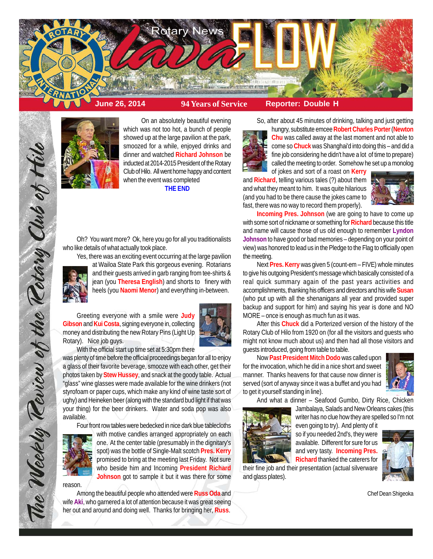



 On an absolutely beautiful evening which was not too hot, a bunch of people showed up at the large pavilion at the park, smoozed for a while, enjoyed drinks and dinner and watched **Richard Johnson** be inducted at 2014-2015 President of the Rotary Club of Hilo. All went home happy and content when the event was completed

**THE END**

Oh? You want more? Ok, here you go for all you traditionalists who like details of what actually took place.

Yes, there was an exciting event occurring at the large pavilion



The Weekly Teview of the Tetary Club of Hil

at Wailoa State Park this gorgeous evening. Rotarians and their guests arrived in garb ranging from tee-shirts & jean (you **Theresa English**) and shorts to finery with heels (you **Naomi Menor**) and everything in-between.

Greeting everyone with a smile were **Judy Gibson** and **Kui Costa**, signing everyone in, collecting money and distributing the new Rotary Pins (Light Up Rotary). Nice job guys.



With the official start up time set at 5:30pm there

was plenty of time before the official proceedings began for all to enjoy a glass of their favorite beverage, smooze with each other, get their photos taken by **Stew Hussey**, and snack at the goody table. Actual "glass" wine glasses were made available for the wine drinkers (not styrofoam or paper cups, which make any kind of wine taste sort of ughy) and Heineken beer (along with the standard bud light if that was your thing) for the beer drinkers. Water and soda pop was also available.

Four front row tables were bedecked in nice dark blue tablecloths



with motive candles arranged appropriately on each one. At the center table (presumably in the dignitary's spot) was the bottle of Single-Malt scotch **Pres. Kerry** promised to bring at the meeting last Friday. Not sure who beside him and Incoming **President Richard Johnson** got to sample it but it was there for some

reason.

Among the beautiful people who attended were **Russ Oda** and wife **Aki**, who garnered a lot of attention because it was great seeing her out and around and doing well. Thanks for bringing her, **Russ**.

So, after about 45 minutes of drinking, talking and just getting

hungry, substitute emcee **Robert Charles Porter** (**Newton Chu** was called away at the last moment and not able to come so **Chuck** was Shanghai'd into doing this – and did a fine job considering he didn't have a lot of time to prepare) called the meeting to order. Somehow he set up a monolog

of jokes and sort of a roast on **Kerry** and **Richard**, telling various tales (?) about them and what they meant to him. It was quite hilarious (and you had to be there cause the jokes came to fast, there was no way to record them properly).



**Incoming Pres. Johnson** (we are going to have to come up with some sort of nickname or something for **Richard** because this title and name will cause those of us old enough to remember **Lyndon Johnson** to have good or bad memories – depending on your point of view) was honored to lead us in the Pledge to the Flag to officially open the meeting.

Next **Pres. Kerry** was given 5 (count-em – FIVE) whole minutes to give his outgoing President's message which basically consisted of a real quick summary again of the past years activities and accomplishments, thanking his officers and directors and his wife **Susan** (who put up with all the shenanigans all year and provided super backup and support for him) and saying his year is done and NO MORE – once is enough as much fun as it was.

After this **Chuck** did a Porterized version of the history of the Rotary Club of Hilo from 1920 on (for all the visitors and guests who might not know much about us) and then had all those visitors and guests introduced, going from table to table.

Now **Past President Mitch Dodo** was called upon for the invocation, which he did in a nice short and sweet manner. Thanks heavens for that cause now dinner is served (sort of anyway since it was a buffet and you had to get it yourself standing in line).

their fine job and their presentation (actual silverware



And what a dinner – Seafood Gumbo, Dirty Rice, Chicken

Jambalaya, Salads and New Orleans cakes (this writer has no clue how they are spelled so I'm not



and glass plates).

even going to try). And plenty of it so if you needed 2nd's, they were

available. Different for sure for us and very tasty. **Incoming Pres. Richard** thanked the caterers for



Chef Dean Shigeoka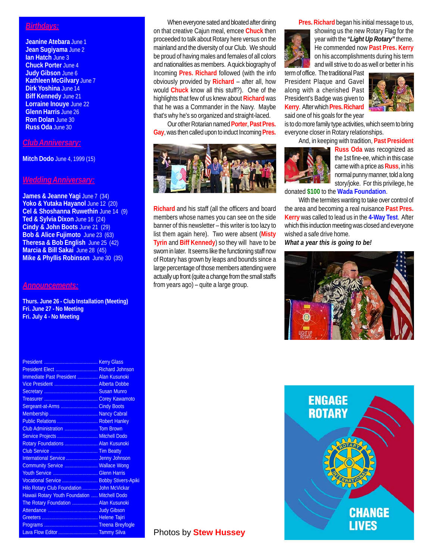# *Birthdays:*

**Jeanine Atebara** June 1 **Jean Sugiyama** June 2 **Ian Hatch June 3 Chuck Porter** June 4 **Judy Gibson** June 6 **Kathleen McGilvary** June 7 **Dirk Yoshina** June 14 **Biff Kennedy** June 21 **Lorraine Inouye** June 22 **Glenn Harris** June 26 **Ron Dolan** June 30 **Russ Oda** June 30

### *Club Anniversary:*

**Mitch Dodo** June 4, 1999 (15)

## *Wedding Anniversary:*

**James & Jeanne Yagi June 7 (34)** Yoko & Yutaka Hayanol June 12 (20) **Cel & Shoshanna Ruwethin** June 14 (9) **Ted & Sylvia Dixon** June 16 (24) **Cindy & John Boots** June 21 (29) **Bob & Alice Fujimoto** June 23 (63) **Theresa & Bob English** June 25 (42) **Marcia & Bill Sakai** June 28 (45) **Mike & Phyllis Robinson** June 30 (35)

### *Announcements:*

**Thurs. June 26 - Club Installation (Meeting) Fri. June 27 - No Meeting Fri. July 4 - No Meeting**

| President Elect  Richard Johnson              |  |
|-----------------------------------------------|--|
| Immediate Past President  Alan Kusunoki       |  |
| Vice President  Alberta Dobbe                 |  |
|                                               |  |
|                                               |  |
| Sergeant-at-Arms  Cindy Boots                 |  |
|                                               |  |
| Public Relations  Robert Hanley               |  |
| Club Administration  Tom Brown                |  |
| Service Projects  Mitchell Dodo               |  |
| Rotary Foundations  Alan Kusunoki             |  |
|                                               |  |
| International Service  Jenny Johnson          |  |
| Community Service  Wallace Wong               |  |
|                                               |  |
| Vocational Service  Bobby Stivers-Apiki       |  |
| Hilo Rotary Club Foundation  John McVickar    |  |
| Hawaii Rotary Youth Foundation  Mitchell Dodo |  |
| The Rotary Foundation  Alan Kusunoki          |  |
|                                               |  |
|                                               |  |
|                                               |  |
| Lava Flow Editor  Tammy Silva                 |  |

When everyone sated and bloated after dining on that creative Cajun meal, emcee **Chuck** then proceeded to talk about Rotary here versus on the mainland and the diversity of our Club. We should be proud of having males and females of all colors and nationalities as members. A quick biography of Incoming **Pres. Richard** followed (with the info obviously provided by **Richard** – after all, how would **Chuck** know all this stuff?). One of the highlights that few of us knew about **Richard** was that he was a Commander in the Navy. Maybe that's why he's so organized and straight-laced.

Our other Rotarian named **Porter**, **Past Pres. Gay**, was then called upon to induct Incoming **Pres.**



**Richard** and his staff (all the officers and board members whose names you can see on the side banner of this newsletter – this writer is too lazy to list them again here). Two were absent (**Misty Tyrin** and **Biff Kennedy**) so they will have to be sworn in later. It seems like the functioning staff now of Rotary has grown by leaps and bounds since a large percentage of those members attending were actually up front (quite a change from the small staffs from years ago) – quite a large group.

**Pres. Richard** began his initial message to us,



showing us the new Rotary Flag for the year with the *"Light Up Rotary"* theme. He commended now **Past Pres. Kerry** on his accomplishments during his term and will strive to do as well or better in his

term of office. The traditional Past President Plaque and Gavel along with a cherished Past President's Badge was given to **Kerry**. After which**Pres. Richard** said one of his goals for the year



is to do more family type activities, which seem to bring everyone closer in Rotary relationships.

And, in keeping with tradition, **Past President**



**Russ Oda** was recognized as the 1st fine-ee, which in this case came with a price as **Russ**, in his normal punny manner, told a long story/joke. For this privilege, he

donated **\$100** to the **Wada Foundation**.

With the termites wanting to take over control of the area and becoming a real nuisance **Past Pres. Kerry** was called to lead us in the **4-Way Test**. After which this induction meeting was closed and everyone wished a safe drive home.

*What a year this is going to be!*



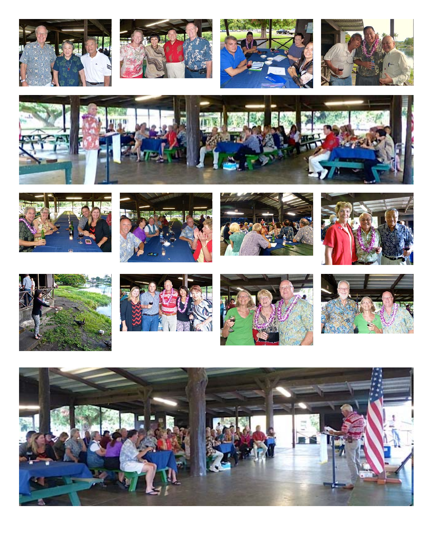